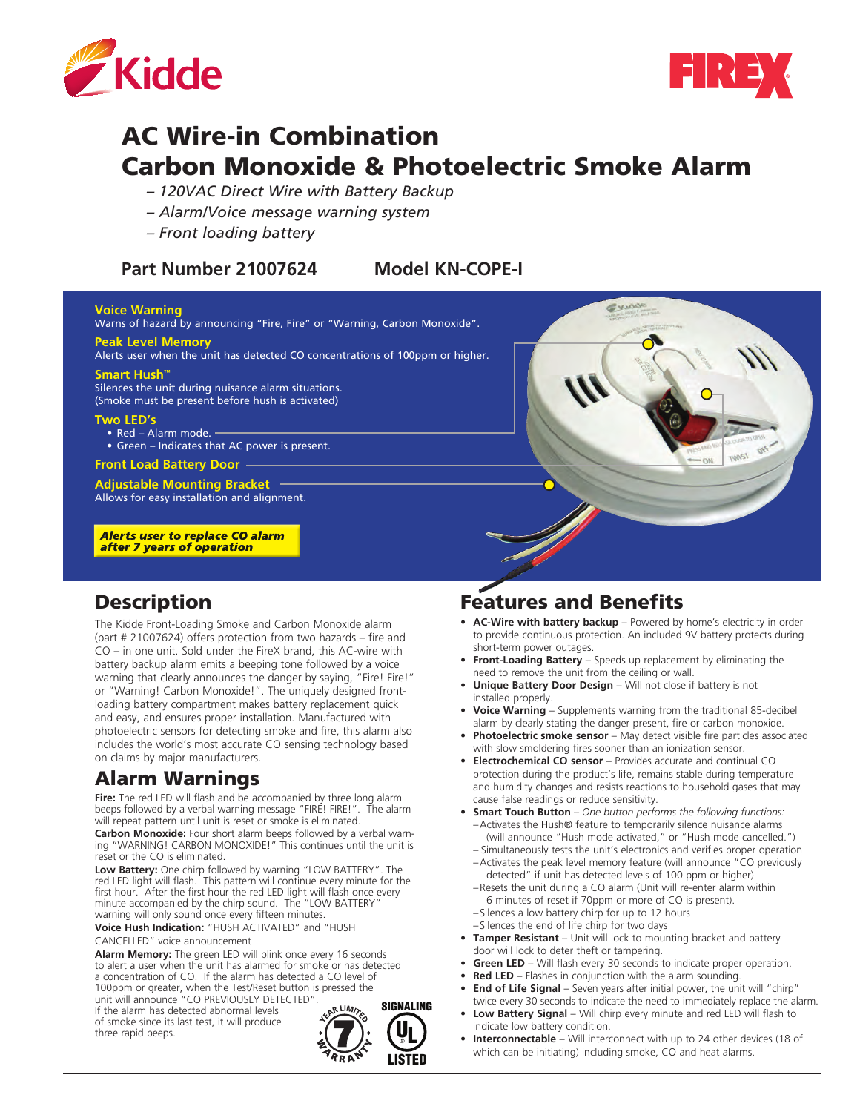



# AC Wire-in Combination Carbon Monoxide & Photoelectric Smoke Alarm

- *120VAC Direct Wire with Battery Backup*
- *Alarm/Voice message warning system*
- *Front loading battery*

#### **Part Number 21007624 Model KN-COPE-I**

#### **Voice Warning**

Warns of hazard by announcing "Fire, Fire" or "Warning, Carbon Monoxide". **Peak Level Memory**

Alerts user when the unit has detected CO concentrations of 100ppm or higher.

#### **Smart Hush™**

Silences the unit during nuisance alarm situations. (Smoke must be present before hush is activated)

#### **Two LED's**

- Red Alarm mode. -
- Green Indicates that AC power is present.

**Front Load Battery Door**

**Adjustable Mounting Bracket** Allows for easy installation and alignment.

**Alerts user to replace CO alarm** after 7 years of operation

### **Description**

The Kidde Front-Loading Smoke and Carbon Monoxide alarm (part # 21007624) offers protection from two hazards – fire and CO – in one unit. Sold under the FireX brand, this AC-wire with battery backup alarm emits a beeping tone followed by a voice warning that clearly announces the danger by saying, "Fire! Fire!" or "Warning! Carbon Monoxide!". The uniquely designed frontloading battery compartment makes battery replacement quick and easy, and ensures proper installation. Manufactured with photoelectric sensors for detecting smoke and fire, this alarm also includes the world's most accurate CO sensing technology based on claims by major manufacturers.

## Alarm Warnings

**Fire:** The red LED will flash and be accompanied by three long alarm beeps followed by a verbal warning message "FIRE! FIRE!". The alarm will repeat pattern until unit is reset or smoke is eliminated.

**Carbon Monoxide:** Four short alarm beeps followed by a verbal warning "WARNING! CARBON MONOXIDE!" This continues until the unit is reset or the CO is eliminated.

**Low Battery:** One chirp followed by warning "LOW BATTERY". The red LED light will flash. This pattern will continue every minute for the first hour. After the first hour the red LED light will flash once every minute accompanied by the chirp sound. The "LOW BATTERY" warning will only sound once every fifteen minutes.

**Voice Hush Indication:** "HUSH ACTIVATED" and "HUSH CANCELLED" voice announcement

**Alarm Memory:** The green LED will blink once every 16 seconds to alert a user when the unit has alarmed for smoke or has detected a concentration of CO. If the alarm has detected a CO level of 100ppm or greater, when the Test/Reset button is pressed the

unit will announce "CO PREVIOUSLY DETECTED". If the alarm has detected abnormal levels of smoke since its last test, it will produce three rapid beeps.



### Features and Benefits

- **AC-Wire with battery backup** Powered by home's electricity in order to provide continuous protection. An included 9V battery protects during short-term power outages.
- **• Front-Loading Battery** Speeds up replacement by eliminating the need to remove the unit from the ceiling or wall.
- **Unique Battery Door Design** Will not close if battery is not installed properly.
- **Voice Warning** Supplements warning from the traditional 85-decibel alarm by clearly stating the danger present, fire or carbon monoxide.
- **Photoelectric smoke sensor** May detect visible fire particles associated with slow smoldering fires sooner than an ionization sensor.
- **• Electrochemical CO sensor** Provides accurate and continual CO protection during the product's life, remains stable during temperature and humidity changes and resists reactions to household gases that may cause false readings or reduce sensitivity.
- **• Smart Touch Button** *One button performs the following functions:*  –Activates the Hush® feature to temporarily silence nuisance alarms (will announce "Hush mode activated," or "Hush mode cancelled.")
	- Simultaneously tests the unit's electronics and verifies proper operation –Activates the peak level memory feature (will announce "CO previously detected" if unit has detected levels of 100 ppm or higher)
	- –Resets the unit during a CO alarm (Unit will re-enter alarm within 6 minutes of reset if 70ppm or more of CO is present).
	- –Silences a low battery chirp for up to 12 hours
- –Silences the end of life chirp for two days
- **• Tamper Resistant** Unit will lock to mounting bracket and battery door will lock to deter theft or tampering.
- **Green LED** Will flash every 30 seconds to indicate proper operation.
- **Red LED** Flashes in conjunction with the alarm sounding.
- **End of Life Signal** Seven years after initial power, the unit will "chirp" twice every 30 seconds to indicate the need to immediately replace the alarm.
- **• Low Battery Signal** Will chirp every minute and red LED will flash to indicate low battery condition.
- **Interconnectable** Will interconnect with up to 24 other devices (18 of which can be initiating) including smoke, CO and heat alarms.